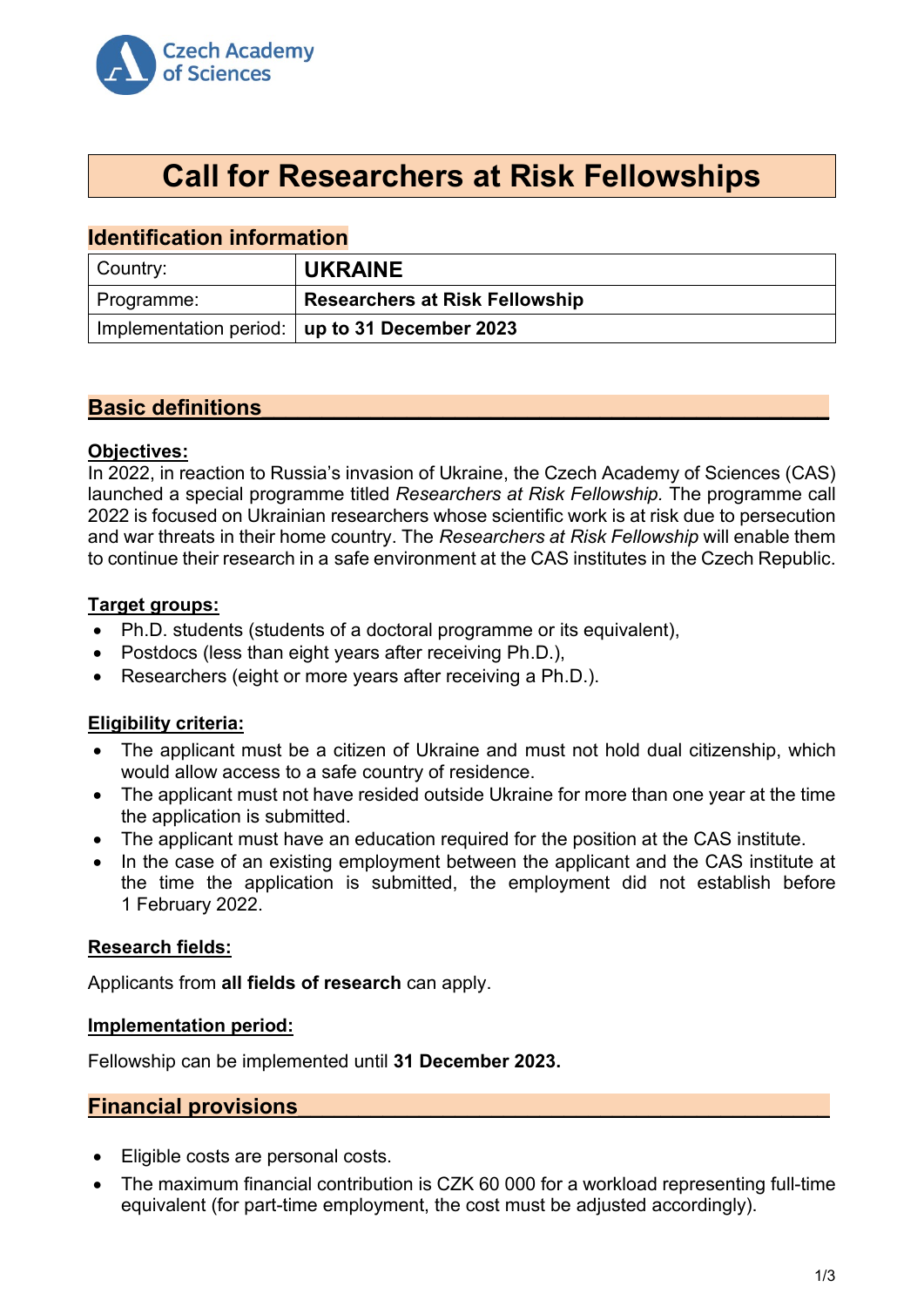

# **Call for Researchers at Risk Fellowships**

# **Identification information**

| $\mid$ Country: | <b>UKRAINE</b>                                  |
|-----------------|-------------------------------------------------|
| Programme:      | <b>Researchers at Risk Fellowship</b>           |
|                 | Implementation period:   up to 31 December 2023 |

# **Basic definitions\_\_\_\_\_\_\_\_\_\_\_\_\_\_\_\_\_\_\_\_\_\_\_\_\_\_\_\_\_\_\_\_\_\_\_\_\_\_\_\_\_\_\_\_\_\_\_**

#### **Objectives:**

In 2022, in reaction to Russia's invasion of Ukraine, the Czech Academy of Sciences (CAS) launched a special programme titled *Researchers at Risk Fellowship.* The programme call 2022 is focused on Ukrainian researchers whose scientific work is at risk due to persecution and war threats in their home country. The *Researchers at Risk Fellowship* will enable them to continue their research in a safe environment at the CAS institutes in the Czech Republic.

## **Target groups:**

- Ph.D. students (students of a doctoral programme or its equivalent),
- Postdocs (less than eight years after receiving Ph.D.),
- Researchers (eight or more years after receiving a Ph.D.).

## **Eligibility criteria:**

- The applicant must be a citizen of Ukraine and must not hold dual citizenship, which would allow access to a safe country of residence.
- The applicant must not have resided outside Ukraine for more than one year at the time the application is submitted.
- The applicant must have an education required for the position at the CAS institute.
- In the case of an existing employment between the applicant and the CAS institute at the time the application is submitted, the employment did not establish before 1 February 2022.

## **Research fields:**

Applicants from **all fields of research** can apply.

#### **Implementation period:**

Fellowship can be implemented until **31 December 2023.**

## **Financial provisions\_\_\_\_\_\_\_\_\_\_\_\_\_\_\_\_\_\_\_\_\_\_\_\_\_\_\_\_\_\_\_\_\_\_\_\_\_\_\_\_\_\_\_\_**

- Eligible costs are personal costs.
- The maximum financial contribution is CZK 60 000 for a workload representing full-time equivalent (for part-time employment, the cost must be adjusted accordingly).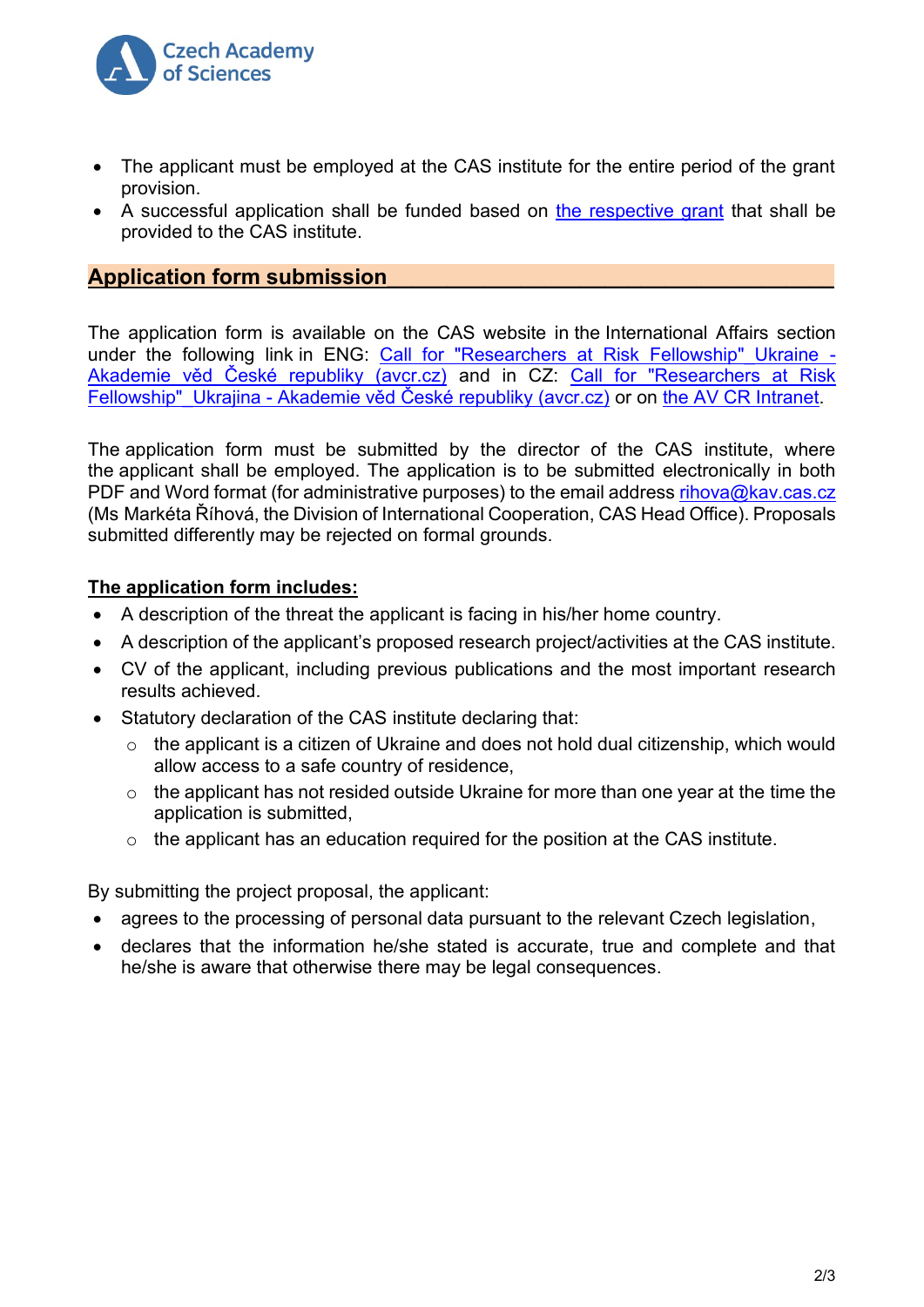

- The applicant must be employed at the CAS institute for the entire period of the grant provision.
- A successful application shall be funded based on the [respective](https://www.avcr.cz/cs/veda-a-vyzkum/podpora-vyzkumu/aktualni-vyzvy-av-cr/) grant that shall be provided to the CAS institute.

# **Application form submission\_\_\_\_\_\_\_\_\_\_\_\_\_\_\_\_\_\_\_\_\_\_\_\_\_\_\_\_\_\_\_\_\_\_\_\_\_**

The application form is available on the CAS website in the International Affairs section under the following link in ENG: Call for "Researchers at Risk Fellowship" Ukraine -[Akademie věd České republiky \(avcr.cz\)](https://www.avcr.cz/en/academic-public/international-affairs/news/Call-for-Researchers-at-Risk-Fellowship_Ukraine/) and in CZ: [Call for "Researchers at Risk](https://www.avcr.cz/cs/veda-a-vyzkum/mezinarodni-vztahy/aktuality/Call-for-Researchers-at-Risk-Fellowship_Ukrajina/)  Fellowship"\_Ukrajina - [Akademie věd České republiky \(avcr.cz\)](https://www.avcr.cz/cs/veda-a-vyzkum/mezinarodni-vztahy/aktuality/Call-for-Researchers-at-Risk-Fellowship_Ukrajina/) or on [the AV CR Intranet.](Podpora%20mezinárodní%20spolupráce%20v%20AV%20ČR%20(avcr.cz))

The application form must be submitted by the director of the CAS institute, where the applicant shall be employed. The application is to be submitted electronically in both PDF and Word format (for administrative purposes) to the email address [rihova@kav.cas.cz](mailto:rihova@kav.cas.cz) (Ms Markéta Říhová, the Division of International Cooperation, CAS Head Office). Proposals submitted differently may be rejected on formal grounds.

# **The application form includes:**

- A description of the threat the applicant is facing in his/her home country.
- A description of the applicant's proposed research project/activities at the CAS institute.
- CV of the applicant, including previous publications and the most important research results achieved.
- Statutory declaration of the CAS institute declaring that:
	- $\circ$  the applicant is a citizen of Ukraine and does not hold dual citizenship, which would allow access to a safe country of residence,
	- $\circ$  the applicant has not resided outside Ukraine for more than one year at the time the application is submitted,
	- $\circ$  the applicant has an education required for the position at the CAS institute.

By submitting the project proposal, the applicant:

- agrees to the processing of personal data pursuant to the relevant Czech legislation,
- declares that the information he/she stated is accurate, true and complete and that he/she is aware that otherwise there may be legal consequences.